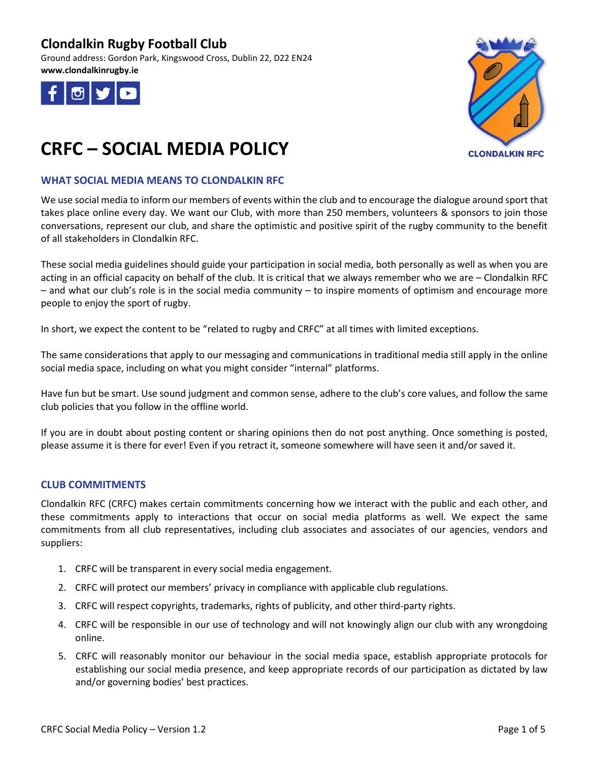Ground address: Gordon Park, Kingswood Cross, Dublin 22, D22 EN24 **www.clondalkinrugby.ie**





# **CRFC – SOCIAL MEDIA POLICY**

### **WHAT SOCIAL MEDIA MEANS TO CLONDALKIN RFC**

We use social media to inform our members of events within the club and to encourage the dialogue around sport that takes place online every day. We want our Club, with more than 250 members, volunteers & sponsors to join those conversations, represent our club, and share the optimistic and positive spirit of the rugby community to the benefit of all stakeholders in Clondalkin RFC.

These social media guidelines should guide your participation in social media, both personally as well as when you are acting in an official capacity on behalf of the club. It is critical that we always remember who we are – Clondalkin RFC – and what our club's role is in the social media community – to inspire moments of optimism and encourage more people to enjoy the sport of rugby.

In short, we expect the content to be "related to rugby and CRFC" at all times with limited exceptions.

The same considerations that apply to our messaging and communications in traditional media still apply in the online social media space, including on what you might consider "internal" platforms.

Have fun but be smart. Use sound judgment and common sense, adhere to the club's core values, and follow the same club policies that you follow in the offline world.

If you are in doubt about posting content or sharing opinions then do not post anything. Once something is posted, please assume it is there for ever! Even if you retract it, someone somewhere will have seen it and/or saved it.

#### **CLUB COMMITMENTS**

Clondalkin RFC (CRFC) makes certain commitments concerning how we interact with the public and each other, and these commitments apply to interactions that occur on social media platforms as well. We expect the same commitments from all club representatives, including club associates and associates of our agencies, vendors and suppliers:

- 1. CRFC will be transparent in every social media engagement.
- 2. CRFC will protect our members' privacy in compliance with applicable club regulations.
- 3. CRFC will respect copyrights, trademarks, rights of publicity, and other third-party rights.
- 4. CRFC will be responsible in our use of technology and will not knowingly align our club with any wrongdoing online.
- 5. CRFC will reasonably monitor our behaviour in the social media space, establish appropriate protocols for establishing our social media presence, and keep appropriate records of our participation as dictated by law and/or governing bodies' best practices.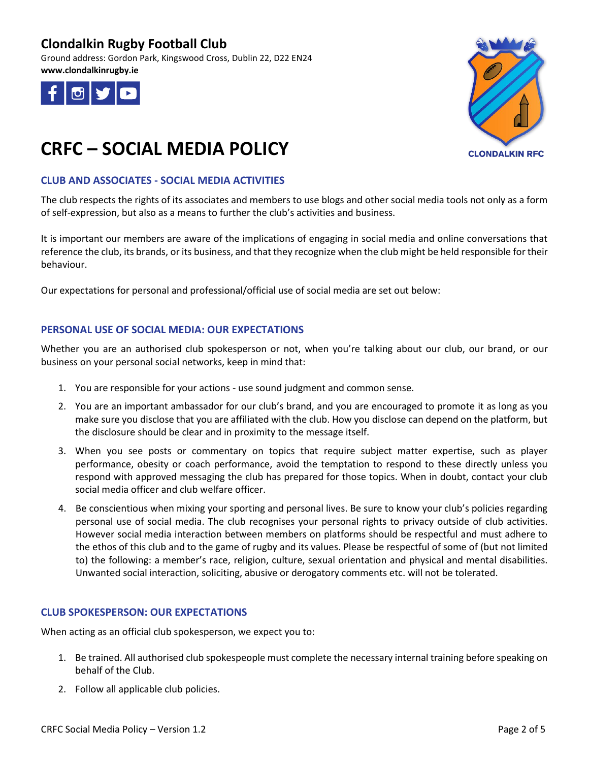Ground address: Gordon Park, Kingswood Cross, Dublin 22, D22 EN24 **www.clondalkinrugby.ie**





# **CRFC – SOCIAL MEDIA POLICY**

### **CLUB AND ASSOCIATES - SOCIAL MEDIA ACTIVITIES**

The club respects the rights of its associates and members to use blogs and other social media tools not only as a form of self-expression, but also as a means to further the club's activities and business.

It is important our members are aware of the implications of engaging in social media and online conversations that reference the club, its brands, or its business, and that they recognize when the club might be held responsible for their behaviour.

Our expectations for personal and professional/official use of social media are set out below:

### **PERSONAL USE OF SOCIAL MEDIA: OUR EXPECTATIONS**

Whether you are an authorised club spokesperson or not, when you're talking about our club, our brand, or our business on your personal social networks, keep in mind that:

- 1. You are responsible for your actions use sound judgment and common sense.
- 2. You are an important ambassador for our club's brand, and you are encouraged to promote it as long as you make sure you disclose that you are affiliated with the club. How you disclose can depend on the platform, but the disclosure should be clear and in proximity to the message itself.
- 3. When you see posts or commentary on topics that require subject matter expertise, such as player performance, obesity or coach performance, avoid the temptation to respond to these directly unless you respond with approved messaging the club has prepared for those topics. When in doubt, contact your club social media officer and club welfare officer.
- 4. Be conscientious when mixing your sporting and personal lives. Be sure to know your club's policies regarding personal use of social media. The club recognises your personal rights to privacy outside of club activities. However social media interaction between members on platforms should be respectful and must adhere to the ethos of this club and to the game of rugby and its values. Please be respectful of some of (but not limited to) the following: a member's race, religion, culture, sexual orientation and physical and mental disabilities. Unwanted social interaction, soliciting, abusive or derogatory comments etc. will not be tolerated.

#### **CLUB SPOKESPERSON: OUR EXPECTATIONS**

When acting as an official club spokesperson, we expect you to:

- 1. Be trained. All authorised club spokespeople must complete the necessary internal training before speaking on behalf of the Club.
- 2. Follow all applicable club policies.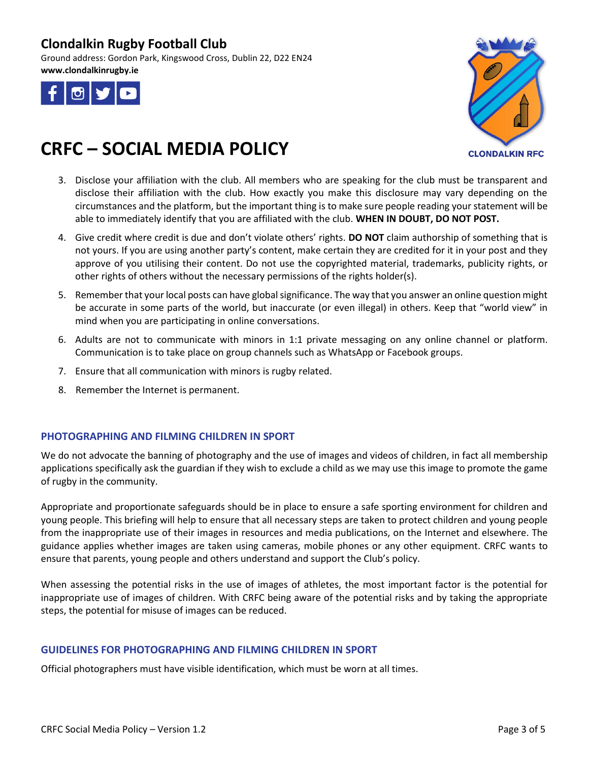Ground address: Gordon Park, Kingswood Cross, Dublin 22, D22 EN24 **www.clondalkinrugby.ie**





# **CRFC – SOCIAL MEDIA POLICY**

- 3. Disclose your affiliation with the club. All members who are speaking for the club must be transparent and disclose their affiliation with the club. How exactly you make this disclosure may vary depending on the circumstances and the platform, but the important thing is to make sure people reading your statement will be able to immediately identify that you are affiliated with the club. **WHEN IN DOUBT, DO NOT POST.**
- 4. Give credit where credit is due and don't violate others' rights. **DO NOT** claim authorship of something that is not yours. If you are using another party's content, make certain they are credited for it in your post and they approve of you utilising their content. Do not use the copyrighted material, trademarks, publicity rights, or other rights of others without the necessary permissions of the rights holder(s).
- 5. Remember that your local posts can have global significance. The way that you answer an online question might be accurate in some parts of the world, but inaccurate (or even illegal) in others. Keep that "world view" in mind when you are participating in online conversations.
- 6. Adults are not to communicate with minors in 1:1 private messaging on any online channel or platform. Communication is to take place on group channels such as WhatsApp or Facebook groups.
- 7. Ensure that all communication with minors is rugby related.
- 8. Remember the Internet is permanent.

### **PHOTOGRAPHING AND FILMING CHILDREN IN SPORT**

We do not advocate the banning of photography and the use of images and videos of children, in fact all membership applications specifically ask the guardian if they wish to exclude a child as we may use this image to promote the game of rugby in the community.

Appropriate and proportionate safeguards should be in place to ensure a safe sporting environment for children and young people. This briefing will help to ensure that all necessary steps are taken to protect children and young people from the inappropriate use of their images in resources and media publications, on the Internet and elsewhere. The guidance applies whether images are taken using cameras, mobile phones or any other equipment. CRFC wants to ensure that parents, young people and others understand and support the Club's policy.

When assessing the potential risks in the use of images of athletes, the most important factor is the potential for inappropriate use of images of children. With CRFC being aware of the potential risks and by taking the appropriate steps, the potential for misuse of images can be reduced.

### **GUIDELINES FOR PHOTOGRAPHING AND FILMING CHILDREN IN SPORT**

Official photographers must have visible identification, which must be worn at all times.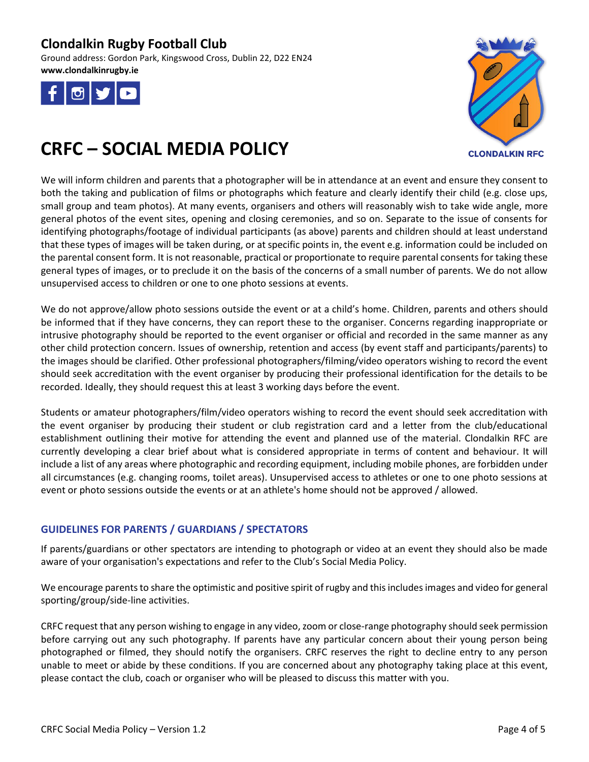Ground address: Gordon Park, Kingswood Cross, Dublin 22, D22 EN24 **www.clondalkinrugby.ie**





# **CRFC – SOCIAL MEDIA POLICY**

We will inform children and parents that a photographer will be in attendance at an event and ensure they consent to both the taking and publication of films or photographs which feature and clearly identify their child (e.g. close ups, small group and team photos). At many events, organisers and others will reasonably wish to take wide angle, more general photos of the event sites, opening and closing ceremonies, and so on. Separate to the issue of consents for identifying photographs/footage of individual participants (as above) parents and children should at least understand that these types of images will be taken during, or at specific points in, the event e.g. information could be included on the parental consent form. It is not reasonable, practical or proportionate to require parental consents for taking these general types of images, or to preclude it on the basis of the concerns of a small number of parents. We do not allow unsupervised access to children or one to one photo sessions at events.

We do not approve/allow photo sessions outside the event or at a child's home. Children, parents and others should be informed that if they have concerns, they can report these to the organiser. Concerns regarding inappropriate or intrusive photography should be reported to the event organiser or official and recorded in the same manner as any other child protection concern. Issues of ownership, retention and access (by event staff and participants/parents) to the images should be clarified. Other professional photographers/filming/video operators wishing to record the event should seek accreditation with the event organiser by producing their professional identification for the details to be recorded. Ideally, they should request this at least 3 working days before the event.

Students or amateur photographers/film/video operators wishing to record the event should seek accreditation with the event organiser by producing their student or club registration card and a letter from the club/educational establishment outlining their motive for attending the event and planned use of the material. Clondalkin RFC are currently developing a clear brief about what is considered appropriate in terms of content and behaviour. It will include a list of any areas where photographic and recording equipment, including mobile phones, are forbidden under all circumstances (e.g. changing rooms, toilet areas). Unsupervised access to athletes or one to one photo sessions at event or photo sessions outside the events or at an athlete's home should not be approved / allowed.

## **GUIDELINES FOR PARENTS / GUARDIANS / SPECTATORS**

If parents/guardians or other spectators are intending to photograph or video at an event they should also be made aware of your organisation's expectations and refer to the Club's Social Media Policy.

We encourage parents to share the optimistic and positive spirit of rugby and this includes images and video for general sporting/group/side-line activities.

CRFC request that any person wishing to engage in any video, zoom or close-range photography should seek permission before carrying out any such photography. If parents have any particular concern about their young person being photographed or filmed, they should notify the organisers. CRFC reserves the right to decline entry to any person unable to meet or abide by these conditions. If you are concerned about any photography taking place at this event, please contact the club, coach or organiser who will be pleased to discuss this matter with you.